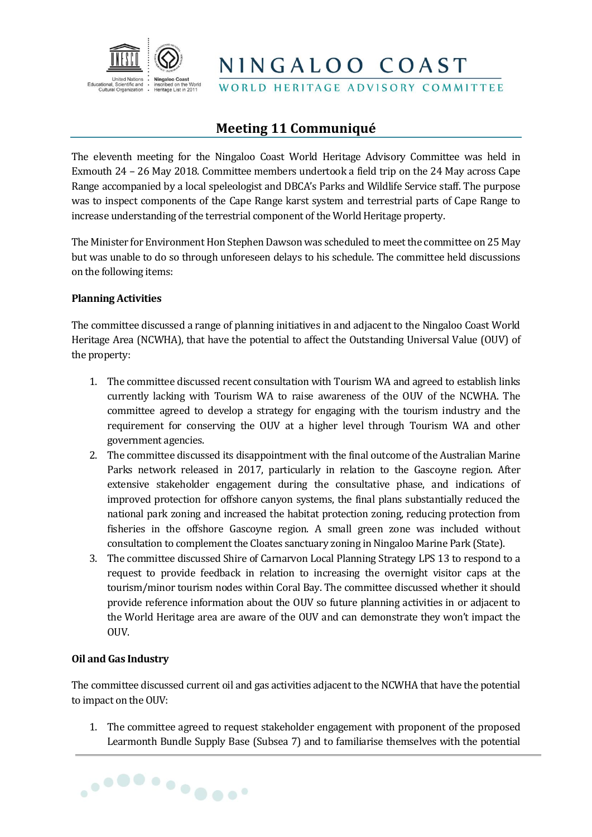

WORLD HERITAGE ADVISORY COMMITTEE

### **Meeting 11 Communiqué**

The eleventh meeting for the Ningaloo Coast World Heritage Advisory Committee was held in Exmouth 24 – 26 May 2018. Committee members undertook a field trip on the 24 May across Cape Range accompanied by a local speleologist and DBCA's Parks and Wildlife Service staff. The purpose was to inspect components of the Cape Range karst system and terrestrial parts of Cape Range to increase understanding of the terrestrial component of the World Heritage property.

The Minister for Environment Hon Stephen Dawson was scheduled to meet the committee on 25 May but was unable to do so through unforeseen delays to his schedule. The committee held discussions on the following items:

#### **Planning Activities**

The committee discussed a range of planning initiatives in and adjacent to the Ningaloo Coast World Heritage Area (NCWHA), that have the potential to affect the Outstanding Universal Value (OUV) of the property:

- 1. The committee discussed recent consultation with Tourism WA and agreed to establish links currently lacking with Tourism WA to raise awareness of the OUV of the NCWHA. The committee agreed to develop a strategy for engaging with the tourism industry and the requirement for conserving the OUV at a higher level through Tourism WA and other government agencies.
- 2. The committee discussed its disappointment with the final outcome of the Australian Marine Parks network released in 2017, particularly in relation to the Gascoyne region. After extensive stakeholder engagement during the consultative phase, and indications of improved protection for offshore canyon systems, the final plans substantially reduced the national park zoning and increased the habitat protection zoning, reducing protection from fisheries in the offshore Gascoyne region. A small green zone was included without consultation to complement the Cloates sanctuary zoning in Ningaloo Marine Park (State).
- 3. The committee discussed Shire of Carnarvon Local Planning Strategy LPS 13 to respond to a request to provide feedback in relation to increasing the overnight visitor caps at the tourism/minor tourism nodes within Coral Bay. The committee discussed whether it should provide reference information about the OUV so future planning activities in or adjacent to the World Heritage area are aware of the OUV and can demonstrate they won't impact the OUV.

#### **Oil and Gas Industry**

The committee discussed current oil and gas activities adjacent to the NCWHA that have the potential to impact on the OUV:

1. The committee agreed to request stakeholder engagement with proponent of the proposed Learmonth Bundle Supply Base (Subsea 7) and to familiarise themselves with the potential

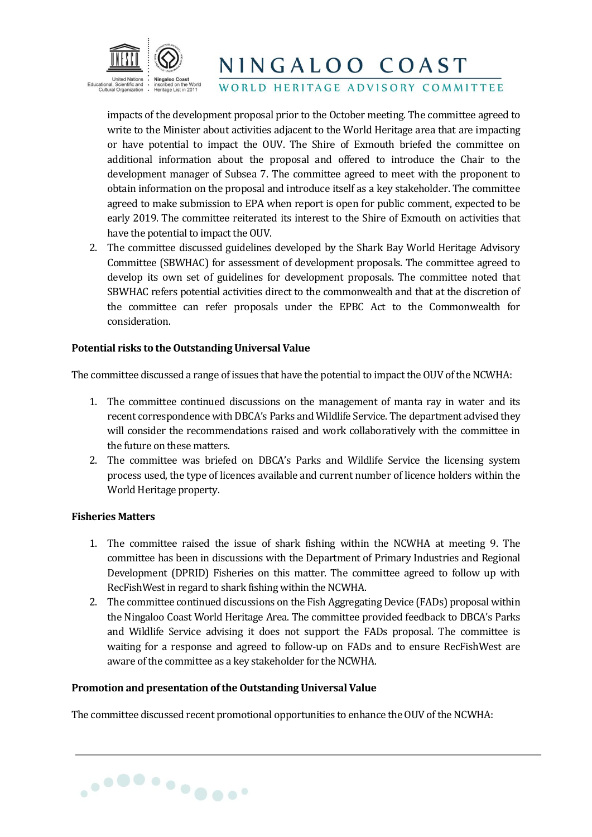

WORLD HERITAGE ADVISORY COMMITTEE

impacts of the development proposal prior to the October meeting. The committee agreed to write to the Minister about activities adjacent to the World Heritage area that are impacting or have potential to impact the OUV. The Shire of Exmouth briefed the committee on additional information about the proposal and offered to introduce the Chair to the development manager of Subsea 7. The committee agreed to meet with the proponent to obtain information on the proposal and introduce itself as a key stakeholder. The committee agreed to make submission to EPA when report is open for public comment, expected to be early 2019. The committee reiterated its interest to the Shire of Exmouth on activities that have the potential to impact the OUV.

2. The committee discussed guidelines developed by the Shark Bay World Heritage Advisory Committee (SBWHAC) for assessment of development proposals. The committee agreed to develop its own set of guidelines for development proposals. The committee noted that SBWHAC refers potential activities direct to the commonwealth and that at the discretion of the committee can refer proposals under the EPBC Act to the Commonwealth for consideration.

#### **Potential risks to the Outstanding Universal Value**

The committee discussed a range of issues that have the potential to impact the OUV of the NCWHA:

- 1. The committee continued discussions on the management of manta ray in water and its recent correspondence with DBCA's Parks and Wildlife Service. The department advised they will consider the recommendations raised and work collaboratively with the committee in the future on these matters.
- 2. The committee was briefed on DBCA's Parks and Wildlife Service the licensing system process used, the type of licences available and current number of licence holders within the World Heritage property.

#### **Fisheries Matters**

- 1. The committee raised the issue of shark fishing within the NCWHA at meeting 9. The committee has been in discussions with the Department of Primary Industries and Regional Development (DPRID) Fisheries on this matter. The committee agreed to follow up with RecFishWest in regard to shark fishing within the NCWHA.
- 2. The committee continued discussions on the Fish Aggregating Device (FADs) proposal within the Ningaloo Coast World Heritage Area. The committee provided feedback to DBCA's Parks and Wildlife Service advising it does not support the FADs proposal. The committee is waiting for a response and agreed to follow-up on FADs and to ensure RecFishWest are aware of the committee as a key stakeholder for the NCWHA.

#### **Promotion and presentation of the Outstanding Universal Value**

............

The committee discussed recent promotional opportunities to enhance the OUV of the NCWHA: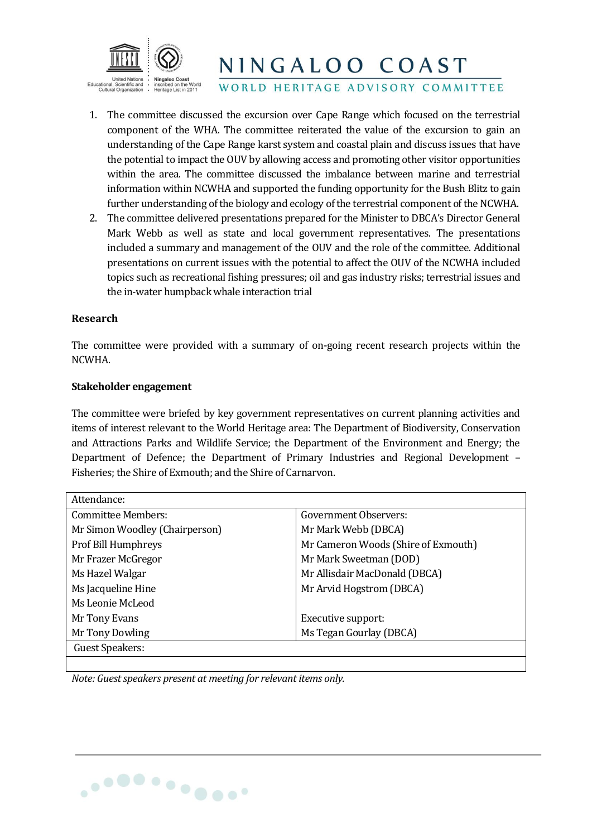

WORLD HERITAGE ADVISORY COMMITTEE

- 1. The committee discussed the excursion over Cape Range which focused on the terrestrial component of the WHA. The committee reiterated the value of the excursion to gain an understanding of the Cape Range karst system and coastal plain and discuss issues that have the potential to impact the OUV by allowing access and promoting other visitor opportunities within the area. The committee discussed the imbalance between marine and terrestrial information within NCWHA and supported the funding opportunity for the Bush Blitz to gain further understanding of the biology and ecology of the terrestrial component of the NCWHA.
- 2. The committee delivered presentations prepared for the Minister to DBCA's Director General Mark Webb as well as state and local government representatives. The presentations included a summary and management of the OUV and the role of the committee. Additional presentations on current issues with the potential to affect the OUV of the NCWHA included topics such as recreational fishing pressures; oil and gas industry risks; terrestrial issues and the in-water humpback whale interaction trial

#### **Research**

The committee were provided with a summary of on-going recent research projects within the NCWHA.

#### **Stakeholder engagement**

The committee were briefed by key government representatives on current planning activities and items of interest relevant to the World Heritage area: The Department of Biodiversity, Conservation and Attractions Parks and Wildlife Service; the Department of the Environment and Energy; the Department of Defence; the Department of Primary Industries and Regional Development – Fisheries; the Shire of Exmouth; and the Shire of Carnarvon.

| Attendance:                    |                                     |
|--------------------------------|-------------------------------------|
| <b>Committee Members:</b>      | <b>Government Observers:</b>        |
| Mr Simon Woodley (Chairperson) | Mr Mark Webb (DBCA)                 |
| Prof Bill Humphreys            | Mr Cameron Woods (Shire of Exmouth) |
| Mr Frazer McGregor             | Mr Mark Sweetman (DOD)              |
| Ms Hazel Walgar                | Mr Allisdair MacDonald (DBCA)       |
| Ms Jacqueline Hine             | Mr Arvid Hogstrom (DBCA)            |
| Ms Leonie McLeod               |                                     |
| Mr Tony Evans                  | Executive support:                  |
| Mr Tony Dowling                | Ms Tegan Gourlay (DBCA)             |
| Guest Speakers:                |                                     |
|                                |                                     |

*Note: Guest speakers present at meeting for relevant items only.*